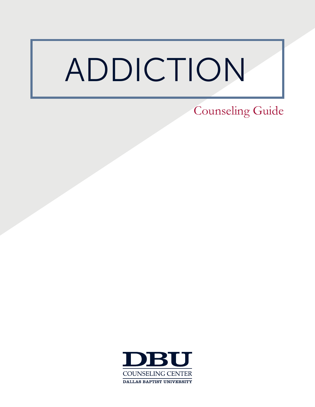# ADDICTION

Counseling Guide

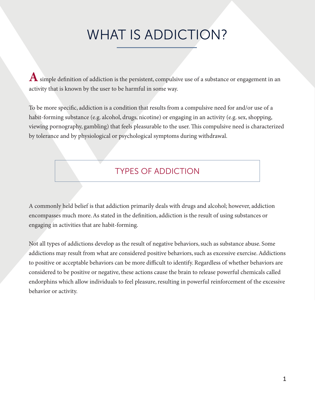### WHAT IS ADDICTION?

 $\boldsymbol{A}$  simple definition of addiction is the persistent, compulsive use of a substance or engagement in an activity that is known by the user to be harmful in some way.

To be more specific, addiction is a condition that results from a compulsive need for and/or use of a habit-forming substance (e.g. alcohol, drugs, nicotine) or engaging in an activity (e.g. sex, shopping, viewing pornography, gambling) that feels pleasurable to the user. This compulsive need is characterized by tolerance and by physiological or psychological symptoms during withdrawal.

### TYPES OF ADDICTION

A commonly held belief is that addiction primarily deals with drugs and alcohol; however, addiction encompasses much more. As stated in the definition, addiction is the result of using substances or engaging in activities that are habit-forming.

Not all types of addictions develop as the result of negative behaviors, such as substance abuse. Some addictions may result from what are considered positive behaviors, such as excessive exercise. Addictions to positive or acceptable behaviors can be more difficult to identify. Regardless of whether behaviors are considered to be positive or negative, these actions cause the brain to release powerful chemicals called endorphins which allow individuals to feel pleasure, resulting in powerful reinforcement of the excessive behavior or activity.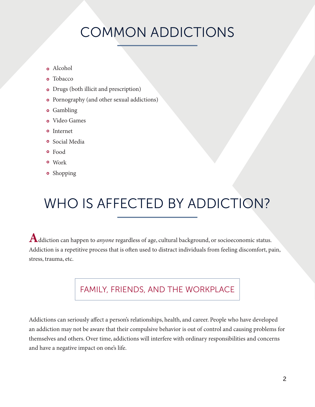# COMMON ADDICTIONS

- Alcohol
- **o** Tobacco
- Drugs (both illicit and prescription)
- Pornography (and other sexual addictions)
- **o** Gambling
- Video Games
- **o** Internet
- **o** Social Media
- Food
- Work
- **o** Shopping

# WHO IS AFFECTED BY ADDICTION?

**A**ddiction can happen to *anyone* regardless of age, cultural background, or socioeconomic status. Addiction is a repetitive process that is often used to distract individuals from feeling discomfort, pain, stress, trauma, etc.

### FAMILY, FRIENDS, AND THE WORKPLACE

Addictions can seriously affect a person's relationships, health, and career. People who have developed an addiction may not be aware that their compulsive behavior is out of control and causing problems for themselves and others. Over time, addictions will interfere with ordinary responsibilities and concerns and have a negative impact on one's life.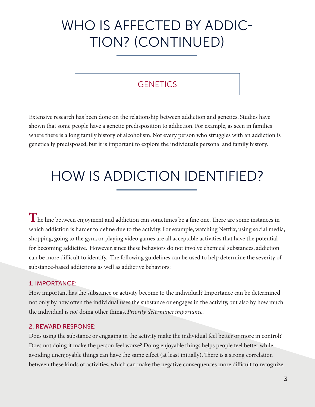### WHO IS AFFECTED BY ADDIC-TION? (CONTINUED)

### **GENETICS**

Extensive research has been done on the relationship between addiction and genetics. Studies have shown that some people have a genetic predisposition to addiction. For example, as seen in families where there is a long family history of alcoholism. Not every person who struggles with an addiction is genetically predisposed, but it is important to explore the individual's personal and family history.

### HOW IS ADDICTION IDENTIFIED?

**T**he line between enjoyment and addiction can sometimes be a fine one. There are some instances in which addiction is harder to define due to the activity. For example, watching Netflix, using social media, shopping, going to the gym, or playing video games are all acceptable activities that have the potential for becoming addictive. However, since these behaviors do not involve chemical substances, addiction can be more difficult to identify. The following guidelines can be used to help determine the severity of substance-based addictions as well as addictive behaviors:

#### 1. IMPORTANCE:

How important has the substance or activity become to the individual? Importance can be determined not only by how often the individual uses the substance or engages in the activity, but also by how much the individual is *not* doing other things. *Priority determines importance*.

#### 2. REWARD RESPONSE:

Does using the substance or engaging in the activity make the individual feel better or more in control? Does not doing it make the person feel worse? Doing enjoyable things helps people feel better while avoiding unenjoyable things can have the same effect (at least initially). There is a strong correlation between these kinds of activities, which can make the negative consequences more difficult to recognize.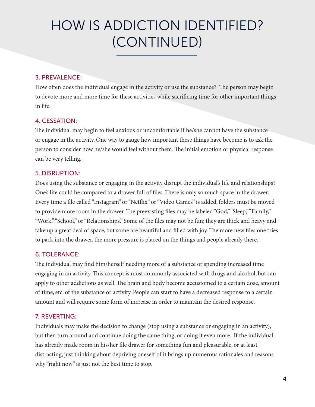# HOW IS ADDICTION IDENTIFIED? (CONTINUED)

#### 3. PREVALENCE:

How often does the individual engage in the activity or use the substance? The person may begin to devote more and more time for these activities while sacrificing time for other important things in life.

#### 4. CESSATION:

The individual may begin to feel anxious or uncomfortable if he/she cannot have the substance or engage in the activity. One way to gauge how important these things have become is to ask the person to consider how he/she would feel without them. The initial emotion or physical response can be very telling.

#### 5. DISRUPTION:

Does using the substance or engaging in the activity disrupt the individual's life and relationships? One's life could be compared to a drawer full of files. There is only so much space in the drawer. Every time a file called "Instagram" or "Netflix" or "Video Games" is added, folders must be moved to provide more room in the drawer. The preexisting files may be labeled "God," "Sleep," "Family," "Work," "School," or "Relationships." Some of the files may not be fun; they are thick and heavy and take up a great deal of space, but some are beautiful and filled with joy. The more new files one tries to pack into the drawer, the more pressure is placed on the things and people already there.

#### 6. TOLERANCE:

The individual may find him/herself needing more of a substance or spending increased time engaging in an activity. This concept is most commonly associated with drugs and alcohol, but can apply to other addictions as well. The brain and body become accustomed to a certain dose, amount of time, etc. of the substance or activity. People can start to have a decreased response to a certain amount and will require some form of increase in order to maintain the desired response.

#### 7. REVERTING:

Individuals may make the decision to change (stop using a substance or engaging in an activity), but then turn around and continue doing the same thing, or doing it even more. If the individual has already made room in his/her file drawer for something fun and pleasurable, or at least distracting, just thinking about depriving oneself of it brings up numerous rationales and reasons why "right now" is just not the best time to stop.